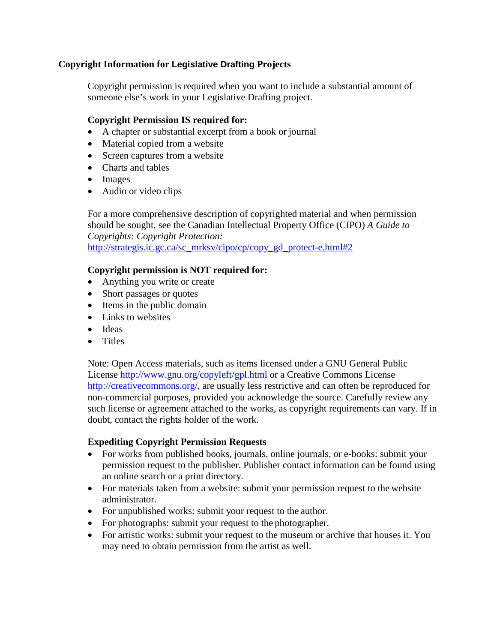# **Copyright Information for Legislative Drafting Projects**

Copyright permission is required when you want to include a substantial amount of someone else's work in your Legislative Drafting project.

# **Copyright Permission IS required for:**

- A chapter or substantial excerpt from a book or journal
- Material copied from a website
- Screen captures from a website
- Charts and tables
- Images
- Audio or video clips

For a more comprehensive description of copyrighted material and when permission should be sought, see the Canadian Intellectual Property Office (CIPO) *A Guide to Copyrights: Copyright Protection:*  [http://strategis.ic.gc.ca/sc\\_mrksv/cipo/cp/copy\\_gd\\_protect-e.html#2](http://strategis.ic.gc.ca/sc_mrksv/cipo/cp/copy_gd_protect-e.html#2)

# **Copyright permission is NOT required for:**

- Anything you write or create
- Short passages or quotes
- Items in the public domain
- Links to websites
- Ideas
- Titles

Note: Open Access materials, such as items licensed under a GNU General Public License [http://www.gnu.org/copyleft/gpl.html o](http://www.gnu.org/copyleft/gpl.html)r a Creative Commons License [http://creativecommons.org/,](http://creativecommons.org/) are usually less restrictive and can often be reproduced for non-commercial purposes, provided you acknowledge the source. Carefully review any such license or agreement attached to the works, as copyright requirements can vary. If in doubt, contact the rights holder of the work.

# **Expediting Copyright Permission Requests**

- For works from published books, journals, online journals, or e-books: submit your permission request to the publisher. Publisher contact information can be found using an online search or a print directory.
- For materials taken from a website: submit your permission request to the website administrator.
- For unpublished works: submit your request to the author.
- For photographs: submit your request to the photographer.
- For artistic works: submit your request to the museum or archive that houses it. You may need to obtain permission from the artist as well.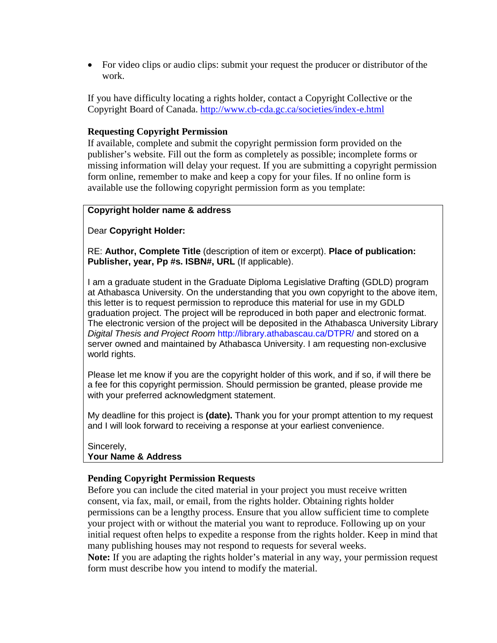• For video clips or audio clips: submit your request the producer or distributor of the work.

If you have difficulty locating a rights holder, contact a Copyright Collective or the Copyright Board of Canada.<http://www.cb-cda.gc.ca/societies/index-e.html>

# **Requesting Copyright Permission**

If available, complete and submit the copyright permission form provided on the publisher's website. Fill out the form as completely as possible; incomplete forms or missing information will delay your request. If you are submitting a copyright permission form online, remember to make and keep a copy for your files. If no online form is available use the following copyright permission form as you template:

### **Copyright holder name & address**

Dear **Copyright Holder:**

RE: **Author, Complete Title** (description of item or excerpt). **Place of publication: Publisher, year, Pp #s. ISBN#, URL** (If applicable).

I am a graduate student in the Graduate Diploma Legislative Drafting (GDLD) program at Athabasca University. On the understanding that you own copyright to the above item, this letter is to request permission to reproduce this material for use in my GDLD graduation project. The project will be reproduced in both paper and electronic format. The electronic version of the project will be deposited in the Athabasca University Library *Digital Thesis and Project Room* <http://library.athabascau.ca/DTPR/> and stored on a server owned and maintained by Athabasca University. I am requesting non-exclusive world rights.

Please let me know if you are the copyright holder of this work, and if so, if will there be a fee for this copyright permission. Should permission be granted, please provide me with your preferred acknowledgment statement.

My deadline for this project is **(date).** Thank you for your prompt attention to my request and I will look forward to receiving a response at your earliest convenience.

#### Sincerely, **Your Name & Address**

# **Pending Copyright Permission Requests**

Before you can include the cited material in your project you must receive written consent, via fax, mail, or email, from the rights holder. Obtaining rights holder permissions can be a lengthy process. Ensure that you allow sufficient time to complete your project with or without the material you want to reproduce. Following up on your initial request often helps to expedite a response from the rights holder. Keep in mind that many publishing houses may not respond to requests for several weeks.

**Note:** If you are adapting the rights holder's material in any way, your permission request form must describe how you intend to modify the material.